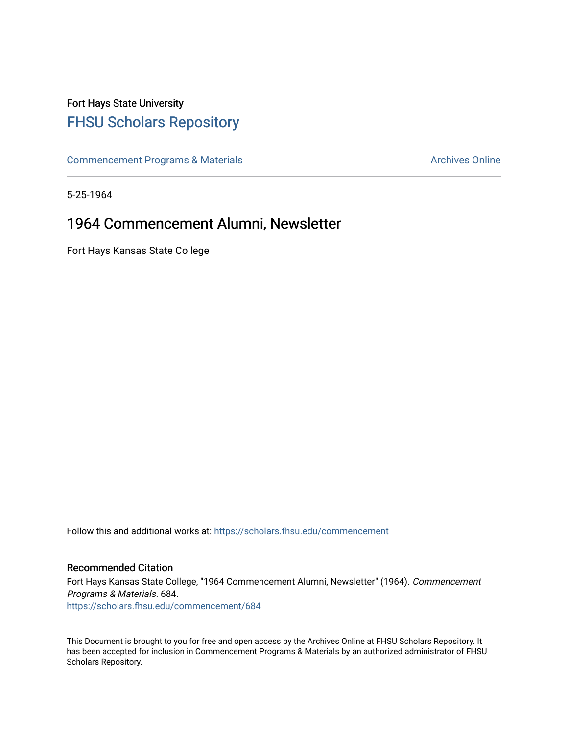## Fort Hays State University [FHSU Scholars Repository](https://scholars.fhsu.edu/)

[Commencement Programs & Materials](https://scholars.fhsu.edu/commencement) **Archives Online** Archives Online

5-25-1964

## 1964 Commencement Alumni, Newsletter

Fort Hays Kansas State College

Follow this and additional works at: [https://scholars.fhsu.edu/commencement](https://scholars.fhsu.edu/commencement?utm_source=scholars.fhsu.edu%2Fcommencement%2F684&utm_medium=PDF&utm_campaign=PDFCoverPages)

## Recommended Citation

Fort Hays Kansas State College, "1964 Commencement Alumni, Newsletter" (1964). Commencement Programs & Materials. 684. [https://scholars.fhsu.edu/commencement/684](https://scholars.fhsu.edu/commencement/684?utm_source=scholars.fhsu.edu%2Fcommencement%2F684&utm_medium=PDF&utm_campaign=PDFCoverPages)

This Document is brought to you for free and open access by the Archives Online at FHSU Scholars Repository. It has been accepted for inclusion in Commencement Programs & Materials by an authorized administrator of FHSU Scholars Repository.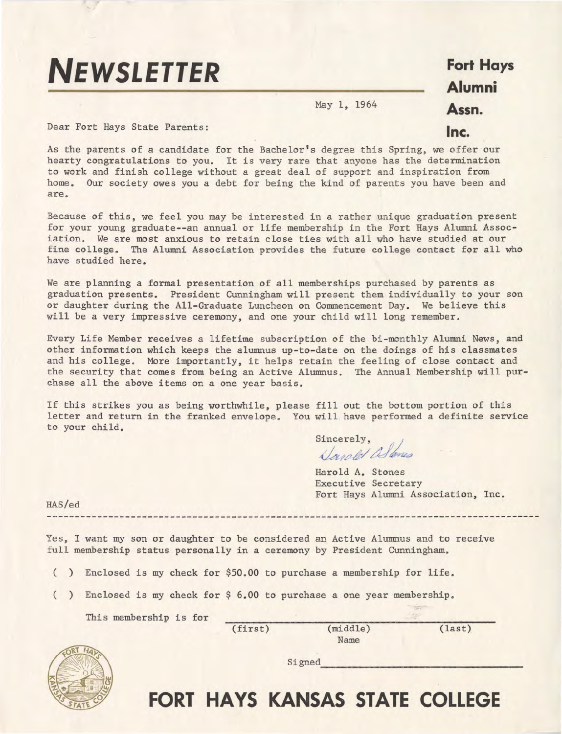## **NEWSLETTER**

**Fort Hays Alumni Assn.** 

**Inc.** 

May 1, 1964

Dear Fort Hays State Parents:

As the parents of a candidate for the Bachelor's degree this Spring, we offer our hearty congratulations to you. It is very rare that anyone has the determination to work and finish college without a great deal of support and inspiration from home. Our society owes you a debt for being the kind of parents you have been and are.

Because of this, we feel you may be interested in a rather unique graduation present for your young graduate--an annual or life membership in the Fort Hays Alumni Association. We are most anxious to retain close ties with all who have studied at our fine college. The Alumni Association provides the future college contact for all who have studied here.

We are planning a formal presentation of all memberships purchased by parents as graduation presents. President Cunningham will present them individually to your son or daughter during the All-Graduate Luncheon on Commencement Day. We believe this will be a very impressive ceremony, and one your child will long remember.

Every Life Member receives a lifetime subscription of the bi-monthly Alumni News, and other information which keeps the alumnus up-to-date on the doings of his classmates and his college. More importantly, it helps retain the feeling of close contact and the security that comes from being an Active Alumnus. The Annual Membership will purchase all the above items on a one year basis.

If this strikes you as being worthwhile, please fill out the bottom portion of this letter and return in the franked envelope. You will have performed a definite service to your child.

sincerely,<br>*Danald Allenes* 

Harold A. Stones Executive Secretary Fort Hays Alumni Association, Inc.

 $\operatorname{Si\,ened}$ 

HAS/ed

Yes, I want my son or daughter to be considered an Active Alumnus and to receive full membership status personally in a ceremony by President Cunningham.

( ) Enclosed is my check for \$50.00 to purchase a membership for life.

( ) Enclosed is my check for \$ 6.00 to purchase a one year membership.

This membership is for

(first)

(middle) Name

(last)



**FORT HAYS KANSAS STATE COLLEGE**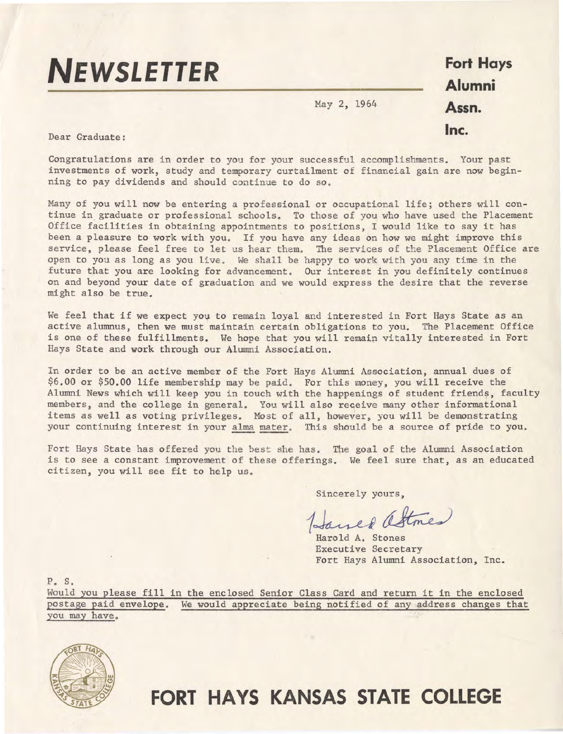

**Fort Hays Alumni Assn. Inc.** 

Dear Graduate:

Congratulations are in order to you for your successful accomplishments. Your past investments of work, study and temporary curtailment of financial gain are now beginning to pay dividends and should continue to do so.

May 2, 1964

Many of you will now be entering a professional or occupational life; others will continue in graduate or professional schools. To those of you who have used the Placement Office facilities in obtaining appointments to positions, I would like to say it has been a pleasure to work with you. If you have any ideas on how we might improve this service, please feel free to let us hear them. The services of the Placement Office are open to you as long as you live. We shall be happy to work with you any time in the future that you are looking for advancement. Our interest in you definitely continues on and beyond your date of graduation and we would express the desire that the reverse might also be true.

We feel that if we expect you to remain loyal and interested in Fort Hays State as an active alumnus, then we must maintain certain obligations to you. The Placement Office is one of these fulfillments. We hope that you will remain vitally interested in Fort Hays State and work through our Alumni Association.

In order to be an active member of the Fort Hays Alumni Association, annual dues of \$6.00 or \$50.00 life membership may be paid. For this money, you will receive the Alumni News which will keep you in touch with the happenings of student friends, faculty members, and the college in general. You will also receive many other informational items as well as voting privileges. Most of all, however, you will be demonstrating your continuing interest in your alma mater. This should be a source of pride to you.

Fort Hays State has offered you the best she has. The goal of the Alumni Association is to see a constant improvement of these offerings. We feel sure that, as an educated citizen, you will see fit to help us.

Sincerely yours,

Janed attmes

Executive Secretary Fort Hays Alumni Association, Inc.

p. s.

Would you please fill in the enclosed Senior Class Card and return it in the enclosed postage paid envelope. We would appreciate being notified of any address changes that you may have.



**FORT HAYS KANSAS STATE COLLEGE**